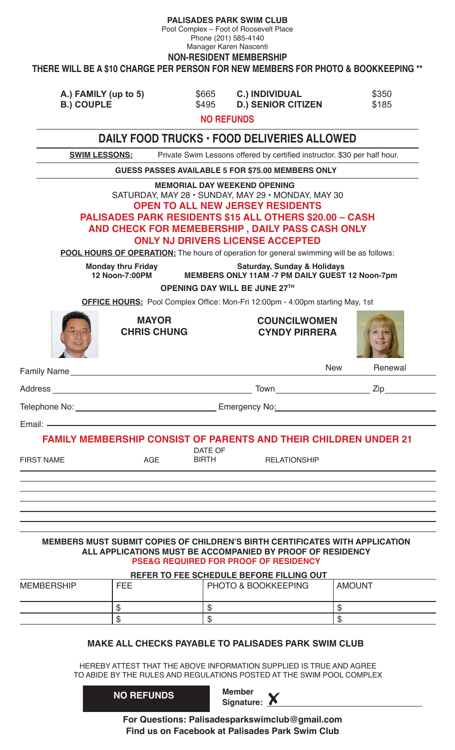**PALISADES PARK SWIM CLUB**

Pool Complex – Foot of Roosevelt Place

Phone (201) 585-4140 Manager Karen Nascenti

**NON-RESIDENT MEMBERSHIP**

**THERE WILL BE A \$10 CHARGE PER PERSON FOR NEW MEMBERS FOR PHOTO & BOOKKEEPING \*\***

| A.) FAMILY (up to 5) | \$665 | <b>C.) INDIVIDUAL</b>     | \$350 |
|----------------------|-------|---------------------------|-------|
| <b>B.) COUPLE</b>    | \$495 | <b>D.) SENIOR CITIZEN</b> | \$185 |

**NO REFUNDS**

|                                                                                                                                                                                                                               |                                             |                                | DAILY FOOD TRUCKS · FOOD DELIVERIES ALLOWED                                                                                                                                                                                                                                                                                                                                                             |                                             |               |
|-------------------------------------------------------------------------------------------------------------------------------------------------------------------------------------------------------------------------------|---------------------------------------------|--------------------------------|---------------------------------------------------------------------------------------------------------------------------------------------------------------------------------------------------------------------------------------------------------------------------------------------------------------------------------------------------------------------------------------------------------|---------------------------------------------|---------------|
| <b>SWIM LESSONS:</b>                                                                                                                                                                                                          |                                             |                                | Private Swim Lessons offered by certified instructor. \$30 per half hour.                                                                                                                                                                                                                                                                                                                               |                                             |               |
|                                                                                                                                                                                                                               |                                             |                                | <b>GUESS PASSES AVAILABLE 5 FOR \$75.00 MEMBERS ONLY</b>                                                                                                                                                                                                                                                                                                                                                |                                             |               |
|                                                                                                                                                                                                                               |                                             |                                | <b>MEMORIAL DAY WEEKEND OPENING</b><br>SATURDAY, MAY 28 · SUNDAY, MAY 29 · MONDAY, MAY 30<br><b>OPEN TO ALL NEW JERSEY RESIDENTS</b><br><b>PALISADES PARK RESIDENTS \$15 ALL OTHERS \$20.00 - CASH</b><br>AND CHECK FOR MEMEBERSHIP, DAILY PASS CASH ONLY<br><b>ONLY NJ DRIVERS LICENSE ACCEPTED</b><br><b>POOL HOURS OF OPERATION:</b> The hours of operation for general swimming will be as follows: |                                             |               |
|                                                                                                                                                                                                                               | <b>Monday thru Friday</b><br>12 Noon-7:00PM |                                | MEMBERS ONLY 11AM -7 PM DAILY GUEST 12 Noon-7pm                                                                                                                                                                                                                                                                                                                                                         | <b>Saturday, Sunday &amp; Holidays</b>      |               |
|                                                                                                                                                                                                                               |                                             |                                | OPENING DAY WILL BE JUNE 27TH                                                                                                                                                                                                                                                                                                                                                                           |                                             |               |
|                                                                                                                                                                                                                               |                                             |                                | OFFICE HOURS: Pool Complex Office: Mon-Fri 12:00pm - 4:00pm starting May, 1st                                                                                                                                                                                                                                                                                                                           |                                             |               |
|                                                                                                                                                                                                                               | <b>MAYOR</b><br><b>CHRIS CHUNG</b>          |                                |                                                                                                                                                                                                                                                                                                                                                                                                         | <b>COUNCILWOMEN</b><br><b>CYNDY PIRRERA</b> |               |
| Family Name has a state of the state of the state of the state of the state of the state of the state of the state of the state of the state of the state of the state of the state of the state of the state of the state of |                                             |                                |                                                                                                                                                                                                                                                                                                                                                                                                         | <b>New</b>                                  | Renewal       |
|                                                                                                                                                                                                                               |                                             |                                |                                                                                                                                                                                                                                                                                                                                                                                                         |                                             |               |
|                                                                                                                                                                                                                               |                                             |                                |                                                                                                                                                                                                                                                                                                                                                                                                         |                                             |               |
|                                                                                                                                                                                                                               |                                             |                                |                                                                                                                                                                                                                                                                                                                                                                                                         |                                             |               |
| <b>FIRST NAME</b>                                                                                                                                                                                                             | AGE                                         | <b>DATE OF</b><br><b>BIRTH</b> | <b>FAMILY MEMBERSHIP CONSIST OF PARENTS AND THEIR CHILDREN UNDER 21</b>                                                                                                                                                                                                                                                                                                                                 | <b>RELATIONSHIP</b>                         |               |
|                                                                                                                                                                                                                               |                                             |                                |                                                                                                                                                                                                                                                                                                                                                                                                         |                                             |               |
|                                                                                                                                                                                                                               |                                             |                                |                                                                                                                                                                                                                                                                                                                                                                                                         |                                             |               |
|                                                                                                                                                                                                                               |                                             |                                | MEMBERS MUST SUBMIT COPIES OF CHILDREN'S BIRTH CERTIFICATES WITH APPLICATION<br>ALL APPLICATIONS MUST BE ACCOMPANIED BY PROOF OF RESIDENCY<br><b>PSE&amp;G REQUIRED FOR PROOF OF RESIDENCY</b>                                                                                                                                                                                                          |                                             |               |
| <b>MEMBERSHIP</b>                                                                                                                                                                                                             | <b>FEE</b>                                  |                                | REFER TO FEE SCHEDULE BEFORE FILLING OUT<br><b>PHOTO &amp; BOOKKEEPING</b>                                                                                                                                                                                                                                                                                                                              |                                             | <b>AMOUNT</b> |
|                                                                                                                                                                                                                               |                                             |                                |                                                                                                                                                                                                                                                                                                                                                                                                         |                                             |               |
|                                                                                                                                                                                                                               | \$<br>\$                                    | \$<br>\$                       |                                                                                                                                                                                                                                                                                                                                                                                                         | \$<br>$\mathfrak{S}$                        |               |
|                                                                                                                                                                                                                               |                                             |                                |                                                                                                                                                                                                                                                                                                                                                                                                         |                                             |               |
|                                                                                                                                                                                                                               |                                             |                                | <b>MAKE ALL CHECKS PAYABLE TO PALISADES PARK SWIM CLUB</b>                                                                                                                                                                                                                                                                                                                                              |                                             |               |
|                                                                                                                                                                                                                               |                                             |                                | HEREBY ATTEST THAT THE ABOVE INFORMATION SUPPLIED IS TRUE AND AGREE<br>TO ABIDE BY THE RULES AND REGULATIONS POSTED AT THE SWIM POOL COMPLEX                                                                                                                                                                                                                                                            |                                             |               |
|                                                                                                                                                                                                                               | <b>NO REFUNDS</b>                           |                                | <b>Member</b><br>Signature: $\triangle$                                                                                                                                                                                                                                                                                                                                                                 |                                             |               |

**For Questions: Palisadesparkswimclub@gmail.com Find us on Facebook at Palisades Park Swim Club**